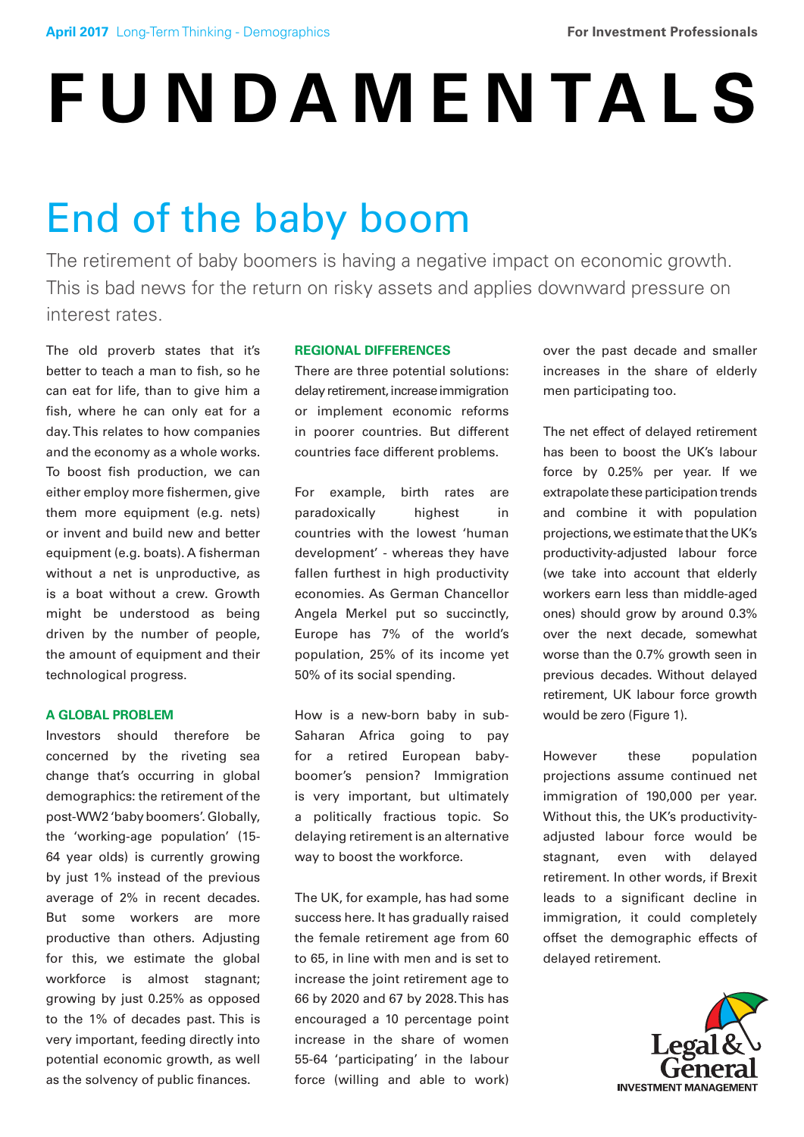# **FUNDAMENTALS**

# End of the baby boom

The retirement of baby boomers is having a negative impact on economic growth. This is bad news for the return on risky assets and applies downward pressure on interest rates.

The old proverb states that it's better to teach a man to fish, so he can eat for life, than to give him a fish, where he can only eat for a day. This relates to how companies and the economy as a whole works. To boost fish production, we can either employ more fishermen, give them more equipment (e.g. nets) or invent and build new and better equipment (e.g. boats). A fisherman without a net is unproductive, as is a boat without a crew. Growth might be understood as being driven by the number of people, the amount of equipment and their technological progress.

## **A GLOBAL PROBLEM**

Investors should therefore be concerned by the riveting sea change that's occurring in global demographics: the retirement of the post-WW2 'baby boomers'. Globally, the 'working-age population' (15- 64 year olds) is currently growing by just 1% instead of the previous average of 2% in recent decades. But some workers are more productive than others. Adjusting for this, we estimate the global workforce is almost stagnant; growing by just 0.25% as opposed to the 1% of decades past. This is very important, feeding directly into potential economic growth, as well as the solvency of public finances.

## **REGIONAL DIFFERENCES**

There are three potential solutions: delay retirement, increase immigration or implement economic reforms in poorer countries. But different countries face different problems.

For example, birth rates are paradoxically highest in countries with the lowest 'human development' - whereas they have fallen furthest in high productivity economies. As German Chancellor Angela Merkel put so succinctly, Europe has 7% of the world's population, 25% of its income yet 50% of its social spending.

How is a new-born baby in sub-Saharan Africa going to pay for a retired European babyboomer's pension? Immigration is very important, but ultimately a politically fractious topic. So delaying retirement is an alternative way to boost the workforce.

The UK, for example, has had some success here. It has gradually raised the female retirement age from 60 to 65, in line with men and is set to increase the joint retirement age to 66 by 2020 and 67 by 2028. This has encouraged a 10 percentage point increase in the share of women 55-64 'participating' in the labour force (willing and able to work)

over the past decade and smaller increases in the share of elderly men participating too.

The net effect of delayed retirement has been to boost the UK's labour force by 0.25% per year. If we extrapolate these participation trends and combine it with population projections, we estimate that the UK's productivity-adjusted labour force (we take into account that elderly workers earn less than middle-aged ones) should grow by around 0.3% over the next decade, somewhat worse than the 0.7% growth seen in previous decades. Without delayed retirement, UK labour force growth would be zero (Figure 1).

However these population projections assume continued net immigration of 190,000 per year. Without this, the UK's productivityadjusted labour force would be stagnant, even with delayed retirement. In other words, if Brexit leads to a significant decline in immigration, it could completely offset the demographic effects of delayed retirement.

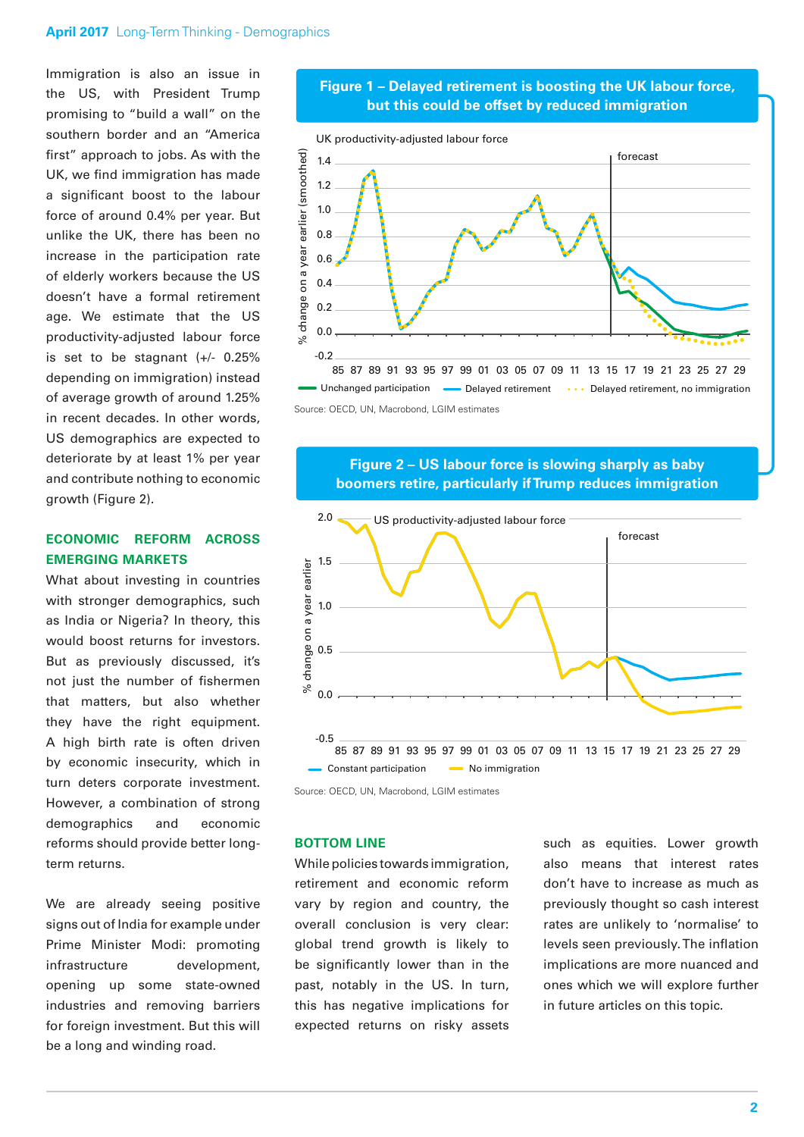#### **April 2017** Long-Term Thinking - Demographics

Immigration is also an issue in the US, with President Trump promising to "build a wall" on the southern border and an "America first" approach to jobs. As with the UK, we find immigration has made a significant boost to the labour force of around 0.4% per year. But unlike the UK, there has been no increase in the participation rate of elderly workers because the US doesn't have a formal retirement age. We estimate that the US productivity-adjusted labour force is set to be stagnant  $(+/- 0.25%)$ depending on immigration) instead of average growth of around 1.25% in recent decades. In other words, US demographics are expected to deteriorate by at least 1% per year and contribute nothing to economic growth (Figure 2).

# **ECONOMIC REFORM ACROSS EMERGING MARKETS**

What about investing in countries with stronger demographics, such as India or Nigeria? In theory, this would boost returns for investors. But as previously discussed, it's not just the number of fishermen that matters, but also whether they have the right equipment. A high birth rate is often driven by economic insecurity, which in turn deters corporate investment. However, a combination of strong demographics and economic reforms should provide better longterm returns.

We are already seeing positive signs out of India for example under Prime Minister Modi: promoting infrastructure development, opening up some state-owned industries and removing barriers for foreign investment. But this will be a long and winding road.

# **Figure 1 – Delayed retirement is boosting the UK labour force, but this could be offset by reduced immigration**



Source: OECD, UN, Macrobond, LGIM estimates

# **Figure 2 – US labour force is slowing sharply as baby boomers retire, particularly if Trump reduces immigration**



Source: OECD, UN, Macrobond, LGIM estimates

#### **BOTTOM LINE**

While policies towards immigration, retirement and economic reform vary by region and country, the overall conclusion is very clear: global trend growth is likely to be significantly lower than in the past, notably in the US. In turn, this has negative implications for expected returns on risky assets

such as equities. Lower growth also means that interest rates don't have to increase as much as previously thought so cash interest rates are unlikely to 'normalise' to levels seen previously. The inflation implications are more nuanced and ones which we will explore further in future articles on this topic.